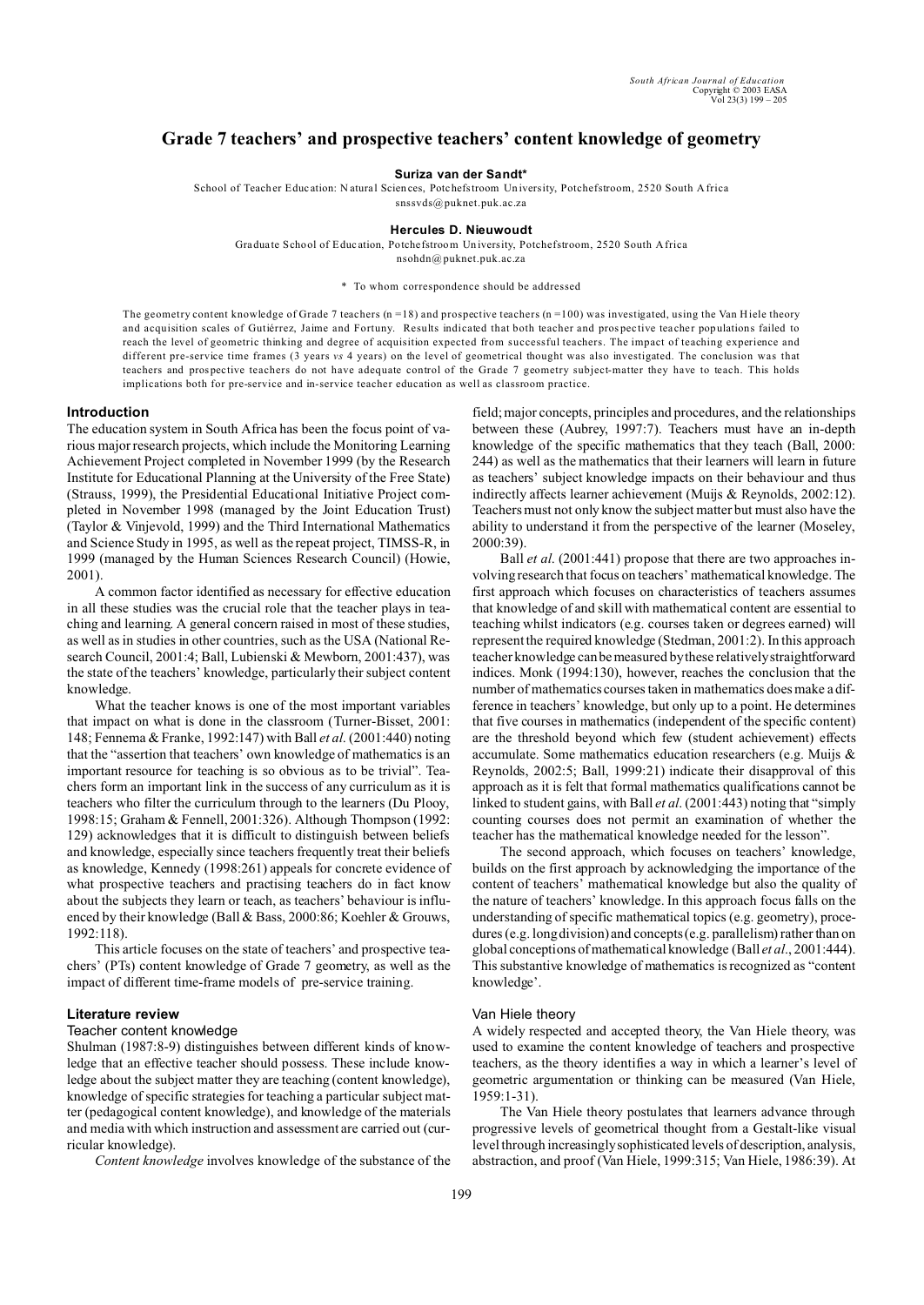# **Grade 7 teachers' and prospective teachers' content knowledge of geometry**

**Suriza van der Sandt\***

School of Teacher Education: Natural Sciences, Potchefstroom University, Potchefstroom, 2520 South Africa

snssvds@puknet.puk.ac.za

## **Hercules D. Nieuwoudt**

Gradua te School of Educ ation, Potchefstroom Un iversity, Potchefstroom, 2520 South Africa nsohdn@ puknet.puk.ac.za

\* To whom correspondence should be addressed

The geometry content knowledge of Grade 7 teachers  $(n = 18)$  and prospective teachers  $(n = 100)$  was investigated, using the Van Hiele theory and acquisition scales of Gutiérrez, Jaime and Fortuny. Results indicated that both teacher and prospective teacher populations failed to reach the level of geometric thinking and degree of acquisition expected from successful teachers. The impact of teaching experience and different pre-service time frames (3 years *vs* 4 years) on the level of geometrical thought was also investigated. The conclusion was that teachers and prospective teachers do not have adequate control of the Grade 7 geometry subject-matter they have to teach. This holds implications both for pre-service and in-service teacher education as well as classroom practice.

#### **Introduction**

The education system in South Africa has been the focus point of various major research projects, which include the Monitoring Learning Achievement Project completed in November 1999 (by the Research Institute for Educational Planning at the University of the Free State) (Strauss, 1999), the Presidential Educational Initiative Project completed in November 1998 (managed by the Joint Education Trust) (Taylor & Vinjevold, 1999) and the Third International Mathematics and Science Study in 1995, as well as the repeat project, TIMSS-R, in 1999 (managed by the Human Sciences Research Council) (Howie, 2001).

A common factor identified as necessary for effective education in all these studies was the crucial role that the teacher plays in teaching and learning. A general concern raised in most of these studies, as well as in studies in other countries, such as the USA (National Research Council, 2001:4; Ball, Lubienski & Mewborn, 2001:437), was the state of the teachers' knowledge, particularly their subject content knowledge.

What the teacher knows is one of the most important variables that impact on what is done in the classroom (Turner-Bisset, 2001: 148; Fennema & Franke, 1992:147) with Ball *et al*. (2001:440) noting that the "assertion that teachers' own knowledge of mathematics is an important resource for teaching is so obvious as to be trivial". Teachers form an important link in the success of any curriculum as it is teachers who filter the curriculum through to the learners (Du Plooy, 1998:15; Graham & Fennell, 2001:326). Although Thompson (1992: 129) acknowledges that it is difficult to distinguish between beliefs and knowledge, especially since teachers frequently treat their beliefs as knowledge, Kennedy (1998:261) appeals for concrete evidence of what prospective teachers and practising teachers do in fact know about the subjects they learn or teach, as teachers' behaviour is influenced by their knowledge (Ball & Bass, 2000:86; Koehler & Grouws, 1992:118).

This article focuses on the state of teachers' and prospective teachers' (PTs) content knowledge of Grade 7 geometry, as well as the impact of different time-frame models of pre-service training.

## **Literature review**

## Teacher content knowledge

Shulman (1987:8-9) distinguishes between different kinds of knowledge that an effective teacher should possess. These include knowledge about the subject matter they are teaching (content knowledge), knowledge of specific strategies for teaching a particular subject matter (pedagogical content knowledge), and knowledge of the materials and media with which instruction and assessment are carried out (curricular knowledge).

*Content knowledge* involves knowledge of the substance of the

field; major concepts, principles and procedures, and the relationships between these (Aubrey, 1997:7). Teachers must have an in-depth knowledge of the specific mathematics that they teach (Ball, 2000: 244) as well as the mathematics that their learners will learn in future as teachers' subject knowledge impacts on their behaviour and thus indirectly affects learner achievement (Muijs & Reynolds, 2002:12). Teachers must not only know the subject matter but must also have the ability to understand it from the perspective of the learner (Moseley, 2000:39).

Ball *et al*. (2001:441) propose that there are two approaches involving research that focus on teachers' mathematical knowledge. The first approach which focuses on characteristics of teachers assumes that knowledge of and skill with mathematical content are essential to teaching whilst indicators (e.g. courses taken or degrees earned) will represent the required knowledge (Stedman, 2001:2). In this approach teacher knowledge can bemeasured by these relatively straightforward indices. Monk (1994:130), however, reaches the conclusion that the number of mathematics courses taken in mathematics does make a difference in teachers' knowledge, but only up to a point. He determines that five courses in mathematics (independent of the specific content) are the threshold beyond which few (student achievement) effects accumulate. Some mathematics education researchers (e.g. Muijs & Reynolds, 2002:5; Ball, 1999:21) indicate their disapproval of this approach as it is felt that formal mathematics qualifications cannot be linked to student gains, with Ball *et al*. (2001:443) noting that "simply counting courses does not permit an examination of whether the teacher has the mathematical knowledge needed for the lesson".

The second approach, which focuses on teachers' knowledge, builds on the first approach by acknowledging the importance of the content of teachers' mathematical knowledge but also the quality of the nature of teachers' knowledge. In this approach focus falls on the understanding of specific mathematical topics (e.g. geometry), procedures (e.g. long division) and concepts (e.g. parallelism) rather than on global conceptions of mathematical knowledge (Ball *et al*., 2001:444). This substantive knowledge of mathematics is recognized as "content knowledge'.

## Van Hiele theory

A widely respected and accepted theory, the Van Hiele theory, was used to examine the content knowledge of teachers and prospective teachers, as the theory identifies a way in which a learner's level of geometric argumentation or thinking can be measured (Van Hiele, 1959:1-31).

The Van Hiele theory postulates that learners advance through progressive levels of geometrical thought from a Gestalt-like visual level through increasingly sophisticated levels of description, analysis, abstraction, and proof (Van Hiele, 1999:315; Van Hiele, 1986:39). At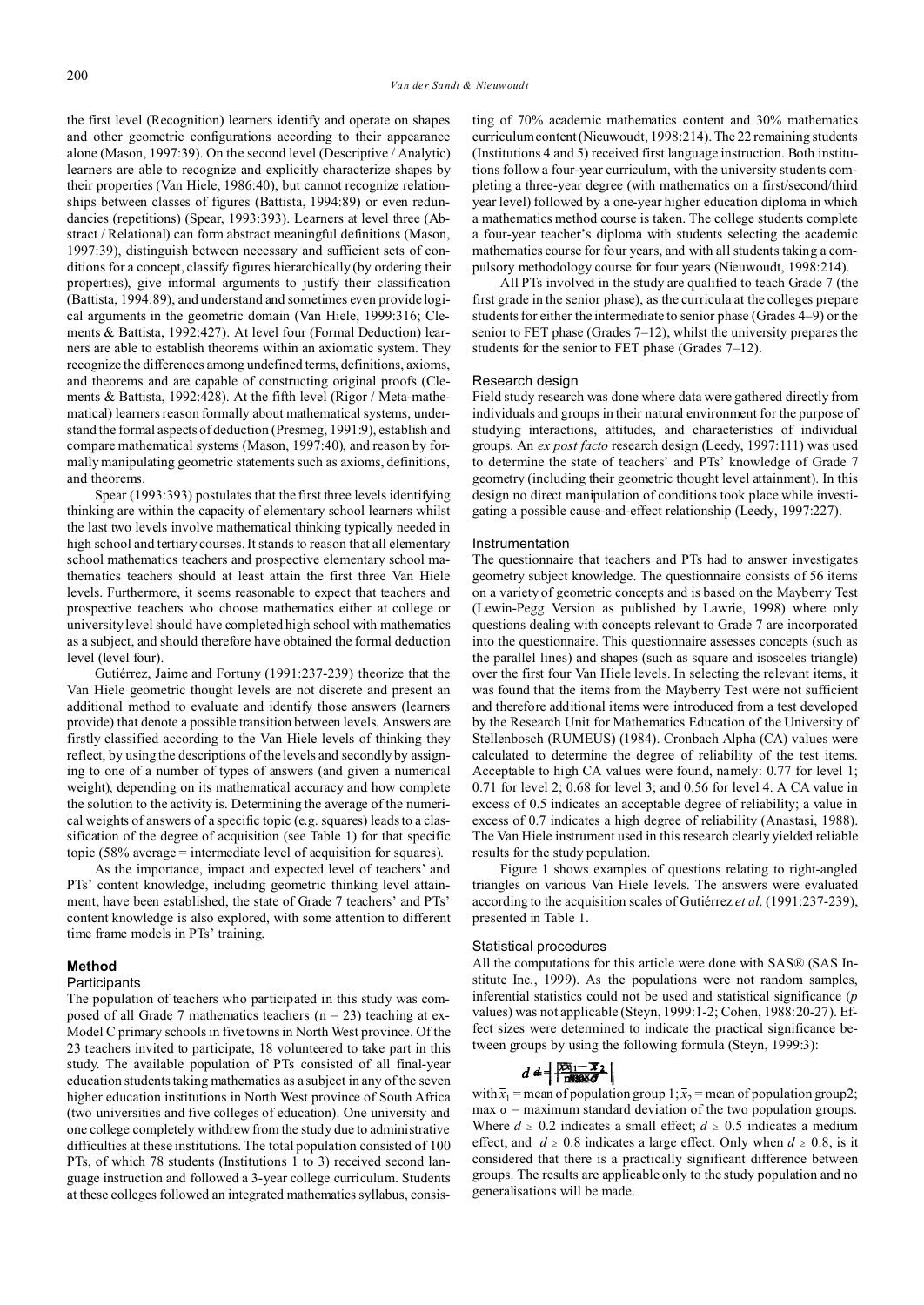the first level (Recognition) learners identify and operate on shapes and other geometric configurations according to their appearance alone (Mason, 1997:39). On the second level (Descriptive / Analytic) learners are able to recognize and explicitly characterize shapes by their properties (Van Hiele, 1986:40), but cannot recognize relationships between classes of figures (Battista, 1994:89) or even redundancies (repetitions) (Spear, 1993:393). Learners at level three (Abstract / Relational) can form abstract meaningful definitions (Mason, 1997:39), distinguish between necessary and sufficient sets of conditions for a concept, classify figures hierarchically (by ordering their properties), give informal arguments to justify their classification (Battista, 1994:89), and understand and sometimes even provide logical arguments in the geometric domain (Van Hiele, 1999:316; Clements & Battista, 1992:427). At level four (Formal Deduction) learners are able to establish theorems within an axiomatic system. They recognize the differences among undefined terms, definitions, axioms, and theorems and are capable of constructing original proofs (Clements & Battista, 1992:428). At the fifth level (Rigor / Meta-mathematical) learners reason formally about mathematical systems, understand the formal aspects of deduction (Presmeg, 1991:9), establish and compare mathematical systems (Mason, 1997:40), and reason by formally manipulating geometric statements such as axioms, definitions, and theorems.

Spear (1993:393) postulates that the first three levels identifying thinking are within the capacity of elementary school learners whilst the last two levels involve mathematical thinking typically needed in high school and tertiary courses. It stands to reason that all elementary school mathematics teachers and prospective elementary school mathematics teachers should at least attain the first three Van Hiele levels. Furthermore, it seems reasonable to expect that teachers and prospective teachers who choose mathematics either at college or university level should have completed high school with mathematics as a subject, and should therefore have obtained the formal deduction level (level four).

Gutiérrez, Jaime and Fortuny (1991:237-239) theorize that the Van Hiele geometric thought levels are not discrete and present an additional method to evaluate and identify those answers (learners provide) that denote a possible transition between levels. Answers are firstly classified according to the Van Hiele levels of thinking they reflect, by using the descriptions of the levels and secondly by assigning to one of a number of types of answers (and given a numerical weight), depending on its mathematical accuracy and how complete the solution to the activity is. Determining the average of the numerical weights of answers of a specific topic (e.g. squares) leads to a classification of the degree of acquisition (see Table 1) for that specific topic (58% average = intermediate level of acquisition for squares).

As the importance, impact and expected level of teachers' and PTs' content knowledge, including geometric thinking level attainment, have been established, the state of Grade 7 teachers' and PTs' content knowledge is also explored, with some attention to different time frame models in PTs' training.

#### **Method**

#### **Participants**

The population of teachers who participated in this study was composed of all Grade 7 mathematics teachers  $(n = 23)$  teaching at ex-Model C primary schools in five towns in North West province. Of the 23 teachers invited to participate, 18 volunteered to take part in this study. The available population of PTs consisted of all final-year education students taking mathematics as a subject in any of the seven higher education institutions in North West province of South Africa (two universities and five colleges of education). One university and one college completely withdrew from the study due to administrative difficulties at these institutions. The total population consisted of 100 PTs, of which 78 students (Institutions 1 to 3) received second language instruction and followed a 3-year college curriculum. Students at these colleges followed an integrated mathematics syllabus, consisting of 70% academic mathematics content and 30% mathematics curriculum content(Nieuwoudt, 1998:214). The 22 remaining students (Institutions 4 and 5) received first language instruction. Both institutions follow a four-year curriculum, with the university students completing a three-year degree (with mathematics on a first/second/third year level) followed by a one-year higher education diploma in which a mathematics method course is taken. The college students complete a four-year teacher's diploma with students selecting the academic mathematics course for four years, and with all students taking a compulsory methodology course for four years (Nieuwoudt, 1998:214).

All PTs involved in the study are qualified to teach Grade 7 (the first grade in the senior phase), as the curricula at the colleges prepare students for either the intermediate to senior phase (Grades 4–9) or the senior to FET phase (Grades 7–12), whilst the university prepares the students for the senior to FET phase (Grades 7–12).

#### Research design

Field study research was done where data were gathered directly from individuals and groups in their natural environment for the purpose of studying interactions, attitudes, and characteristics of individual groups. An *ex post facto* research design (Leedy, 1997:111) was used to determine the state of teachers' and PTs' knowledge of Grade 7 geometry (including their geometric thought level attainment). In this design no direct manipulation of conditions took place while investigating a possible cause-and-effect relationship (Leedy, 1997:227).

#### Instrumentation

The questionnaire that teachers and PTs had to answer investigates geometry subject knowledge. The questionnaire consists of 56 items on a variety of geometric concepts and is based on the Mayberry Test (Lewin-Pegg Version as published by Lawrie, 1998) where only questions dealing with concepts relevant to Grade 7 are incorporated into the questionnaire. This questionnaire assesses concepts (such as the parallel lines) and shapes (such as square and isosceles triangle) over the first four Van Hiele levels. In selecting the relevant items, it was found that the items from the Mayberry Test were not sufficient and therefore additional items were introduced from a test developed by the Research Unit for Mathematics Education of the University of Stellenbosch (RUMEUS) (1984). Cronbach Alpha (CA) values were calculated to determine the degree of reliability of the test items. Acceptable to high CA values were found, namely: 0.77 for level 1; 0.71 for level 2; 0.68 for level 3; and 0.56 for level 4. A CA value in excess of 0.5 indicates an acceptable degree of reliability; a value in excess of 0.7 indicates a high degree of reliability (Anastasi, 1988). The Van Hiele instrument used in this research clearly yielded reliable results for the study population.

Figure 1 shows examples of questions relating to right-angled triangles on various Van Hiele levels. The answers were evaluated according to the acquisition scales of Gutiérrez *et al*. (1991:237-239), presented in Table 1.

#### Statistical procedures

All the computations for this article were done with SAS® (SAS Institute Inc., 1999). As the populations were not random samples, inferential statistics could not be used and statistical significance (*p* values) was not applicable (Steyn, 1999:1-2; Cohen, 1988:20-27). Effect sizes were determined to indicate the practical significance between groups by using the following formula (Steyn, 1999:3):

with  $\bar{x}_1$  = mean of population group 1;  $\bar{x}_2$  = mean of population group2;  $max \sigma$  = maximum standard deviation of the two population groups. Where  $d \geq 0.2$  indicates a small effect;  $d \geq 0.5$  indicates a medium effect; and  $d \ge 0.8$  indicates a large effect. Only when  $d \ge 0.8$ , is it considered that there is a practically significant difference between groups. The results are applicable only to the study population and no generalisations will be made.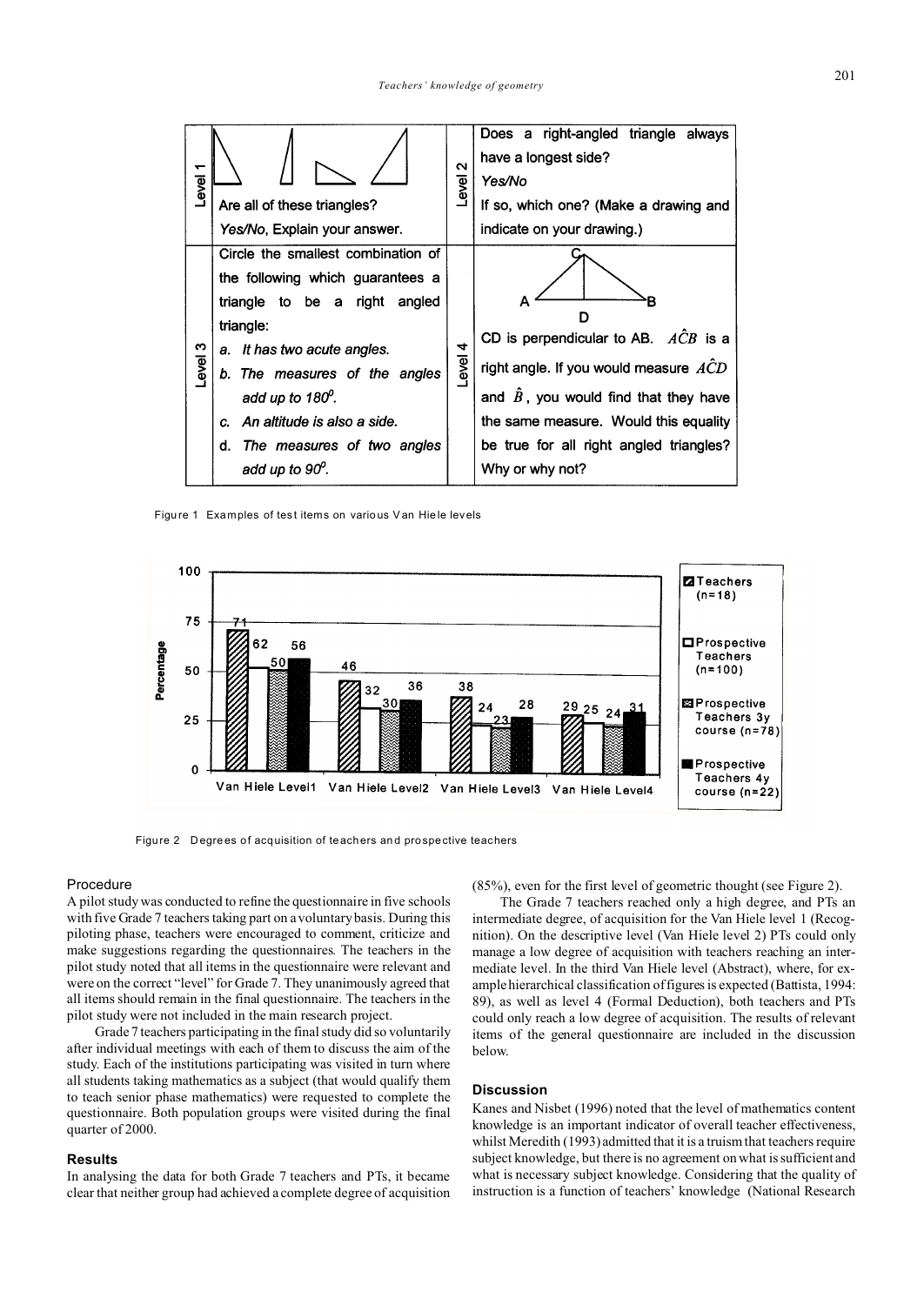

Figure 1 Examples of test items on various Van Hiele levels



Figure 2 D egrees of acquisition of teachers and prospective teachers

#### Procedure

A pilot study was conducted to refine the questionnaire in five schools with five Grade 7 teachers taking part on a voluntary basis. During this piloting phase, teachers were encouraged to comment, criticize and make suggestions regarding the questionnaires. The teachers in the pilot study noted that all items in the questionnaire were relevant and were on the correct "level" for Grade 7. They unanimously agreed that all items should remain in the final questionnaire. The teachers in the pilot study were not included in the main research project.

Grade 7 teachers participating in the final study did so voluntarily after individual meetings with each of them to discuss the aim of the study. Each of the institutions participating was visited in turn where all students taking mathematics as a subject (that would qualify them to teach senior phase mathematics) were requested to complete the questionnaire. Both population groups were visited during the final quarter of 2000.

### **Results**

In analysing the data for both Grade 7 teachers and PTs, it became clear that neither group had achieved a complete degree of acquisition (85%), even for the first level of geometric thought (see Figure 2).

The Grade 7 teachers reached only a high degree, and PTs an intermediate degree, of acquisition for the Van Hiele level 1 (Recognition). On the descriptive level (Van Hiele level 2) PTs could only manage a low degree of acquisition with teachers reaching an intermediate level. In the third Van Hiele level (Abstract), where, for example hierarchical classification of figures is expected (Battista, 1994: 89), as well as level 4 (Formal Deduction), both teachers and PTs could only reach a low degree of acquisition. The results of relevant items of the general questionnaire are included in the discussion below.

## **Discussion**

Kanes and Nisbet (1996) noted that the level of mathematics content knowledge is an important indicator of overall teacher effectiveness, whilst Meredith (1993) admitted that it is a truism that teachers require subject knowledge, but there is no agreement on what is sufficient and what is necessary subject knowledge. Considering that the quality of instruction is a function of teachers' knowledge (National Research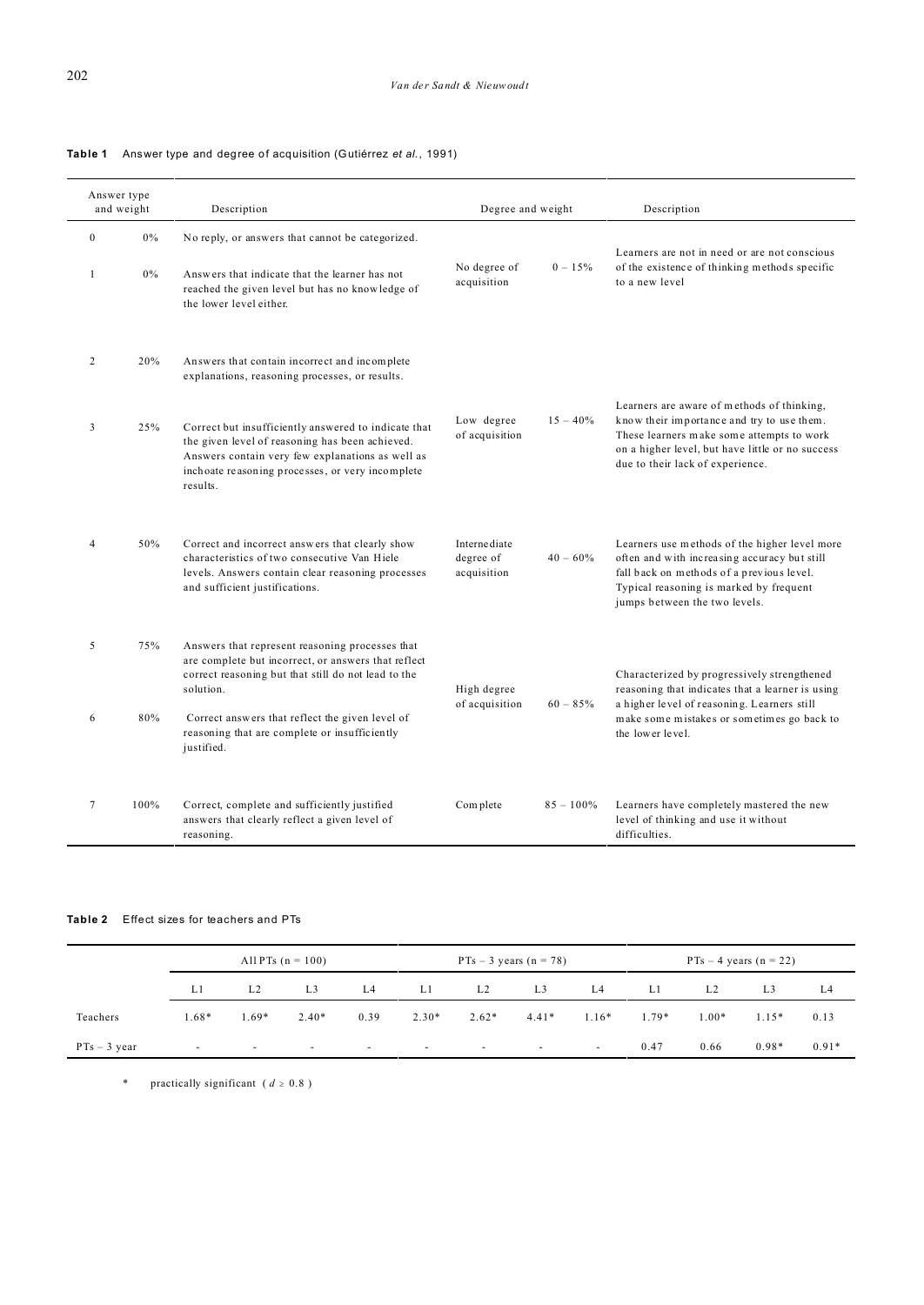a.

|                              | Answer type<br>and weight | Description                                                                                                                                                                                                                 | Degree and weight                         |              | Description                                                                                                                                                                                                                   |  |  |  |
|------------------------------|---------------------------|-----------------------------------------------------------------------------------------------------------------------------------------------------------------------------------------------------------------------------|-------------------------------------------|--------------|-------------------------------------------------------------------------------------------------------------------------------------------------------------------------------------------------------------------------------|--|--|--|
| $\mathbf{0}$<br>$\mathbf{1}$ | 0%<br>$0\%$               | No reply, or answers that cannot be categorized.<br>Answers that indicate that the learner has not<br>reached the given level but has no knowledge of<br>the lower level either.                                            | No degree of<br>acquisition               | $0 - 15\%$   | Learners are not in need or are not conscious<br>of the existence of thinking methods specific<br>to a new level                                                                                                              |  |  |  |
| 2                            | 20%                       | Answers that contain incorrect and incomplete<br>explanations, reasoning processes, or results.                                                                                                                             |                                           |              | Learners are aware of methods of thinking,<br>know their importance and try to use them.<br>These learners make some attempts to work<br>on a higher level, but have little or no success<br>due to their lack of experience. |  |  |  |
| 3                            | 25%                       | Correct but insufficiently answered to indicate that<br>the given level of reasoning has been achieved.<br>Answers contain very few explanations as well as<br>inchoate reasoning processes, or very incomplete<br>results. | Low degree<br>of acquisition              | $15 - 40\%$  |                                                                                                                                                                                                                               |  |  |  |
| $\overline{4}$               | 50%                       | Correct and incorrect answers that clearly show<br>characteristics of two consecutive Van Hiele<br>levels. Answers contain clear reasoning processes<br>and sufficient justifications.                                      | Interne diate<br>degree of<br>acquisition | $40 - 60\%$  | Learners use methods of the higher level more<br>often and with increasing accuracy but still<br>fall back on methods of a previous level.<br>Typical reasoning is marked by frequent<br>jumps between the two levels.        |  |  |  |
| 5                            | 75%                       | Answers that represent reasoning processes that<br>are complete but incorrect, or answers that reflect<br>correct reasoning but that still do not lead to the<br>solution.                                                  | High degree<br>of acquisition             | $60 - 85%$   | Characterized by progressively strengthened<br>reasoning that indicates that a learner is using                                                                                                                               |  |  |  |
| 6                            | 80%                       | Correct answers that reflect the given level of<br>reasoning that are complete or insufficiently<br>justified.                                                                                                              |                                           |              | a higher level of reasoning. Learners still<br>make some mistakes or sometimes go back to<br>the lower level.                                                                                                                 |  |  |  |
| $7\phantom{.0}$              | 100%                      | Correct, complete and sufficiently justified<br>answers that clearly reflect a given level of<br>reasoning.                                                                                                                 | Complete                                  | $85 - 100\%$ | Learners have completely mastered the new<br>level of thinking and use it without<br>difficulties.                                                                                                                            |  |  |  |

**Table 1** Answer type and deg ree of acquisition (Gutiérrez *et al.*, 1991)

# **Table 2** Effect sizes for teachers and PTs

|                | All PTs $(n = 100)$ |        |         |                | $PTs - 3$ years (n = 78) |                |                | $PTs - 4$ years $(n = 22)$ |         |         |         |         |
|----------------|---------------------|--------|---------|----------------|--------------------------|----------------|----------------|----------------------------|---------|---------|---------|---------|
|                | L1                  | L2     | L3      | L <sub>4</sub> | L1                       | L <sub>2</sub> | L <sub>3</sub> | L4                         | L1      | L2      | L3      | L4      |
| Teachers       | 1.68*               | 1.69*  | $2.40*$ | 0.39           | $2.30*$                  | $2.62*$        | $4.41*$        | $1.16*$                    | $1.79*$ | $1.00*$ | $1.15*$ | 0.13    |
| $PTs - 3$ year | $\sim$              | $\sim$ | $\sim$  | $\sim 100$     | $\sim$                   | $\sim$         | $\sim$         | $\sim$                     | 0.47    | 0.66    | $0.98*$ | $0.91*$ |

\* practically significant ( $d \ge 0.8$ )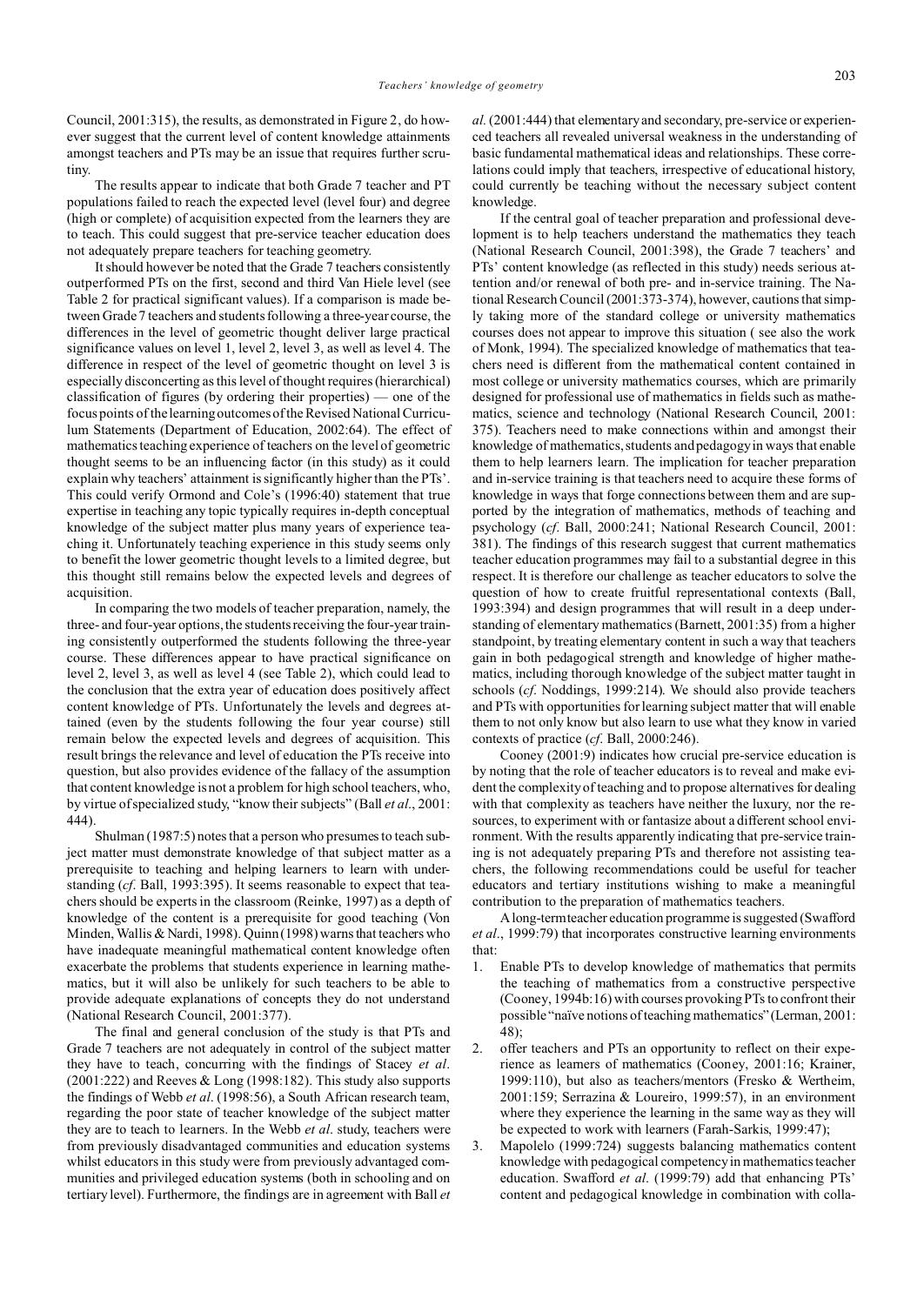Council, 2001:315), the results, as demonstrated in Figure 2, do however suggest that the current level of content knowledge attainments amongst teachers and PTs may be an issue that requires further scrutiny.

The results appear to indicate that both Grade 7 teacher and PT populations failed to reach the expected level (level four) and degree (high or complete) of acquisition expected from the learners they are to teach. This could suggest that pre-service teacher education does not adequately prepare teachers for teaching geometry.

It should however be noted that the Grade 7 teachers consistently outperformed PTs on the first, second and third Van Hiele level (see Table 2 for practical significant values). If a comparison is made between Grade 7 teachers and students following a three-year course, the differences in the level of geometric thought deliver large practical significance values on level 1, level 2, level 3, as well as level 4. The difference in respect of the level of geometric thought on level 3 is especially disconcerting as this level of thought requires (hierarchical) classification of figures (by ordering their properties) — one of the focus points of the learning outcomes of the Revised National Curriculum Statements (Department of Education, 2002:64). The effect of mathematics teaching experience of teachers on the level of geometric thought seems to be an influencing factor (in this study) as it could explain why teachers' attainment is significantly higher than the PTs'. This could verify Ormond and Cole's (1996:40) statement that true expertise in teaching any topic typically requires in-depth conceptual knowledge of the subject matter plus many years of experience teaching it. Unfortunately teaching experience in this study seems only to benefit the lower geometric thought levels to a limited degree, but this thought still remains below the expected levels and degrees of acquisition.

In comparing the two models of teacher preparation, namely, the three- and four-year options, the students receiving the four-year training consistently outperformed the students following the three-year course. These differences appear to have practical significance on level 2, level 3, as well as level 4 (see Table 2), which could lead to the conclusion that the extra year of education does positively affect content knowledge of PTs. Unfortunately the levels and degrees attained (even by the students following the four year course) still remain below the expected levels and degrees of acquisition. This result brings the relevance and level of education the PTs receive into question, but also provides evidence of the fallacy of the assumption that content knowledge is not a problem for high school teachers, who, by virtue of specialized study, "know their subjects" (Ball *et al*., 2001: 444).

Shulman (1987:5) notes that a person who presumes to teach subject matter must demonstrate knowledge of that subject matter as a prerequisite to teaching and helping learners to learn with understanding (*cf*. Ball, 1993:395). It seems reasonable to expect that teachers should be experts in the classroom (Reinke, 1997) as a depth of knowledge of the content is a prerequisite for good teaching (Von Minden, Wallis & Nardi, 1998). Quinn (1998) warns that teachers who have inadequate meaningful mathematical content knowledge often exacerbate the problems that students experience in learning mathematics, but it will also be unlikely for such teachers to be able to provide adequate explanations of concepts they do not understand (National Research Council, 2001:377).

The final and general conclusion of the study is that PTs and Grade 7 teachers are not adequately in control of the subject matter they have to teach, concurring with the findings of Stacey *et al*. (2001:222) and Reeves & Long (1998:182). This study also supports the findings of Webb *et al*. (1998:56), a South African research team, regarding the poor state of teacher knowledge of the subject matter they are to teach to learners. In the Webb *et al*. study, teachers were from previously disadvantaged communities and education systems whilst educators in this study were from previously advantaged communities and privileged education systems (both in schooling and on tertiary level). Furthermore, the findings are in agreement with Ball *et*

*al.* (2001:444) that elementary and secondary, pre-service or experienced teachers all revealed universal weakness in the understanding of basic fundamental mathematical ideas and relationships. These correlations could imply that teachers, irrespective of educational history, could currently be teaching without the necessary subject content knowledge.

If the central goal of teacher preparation and professional development is to help teachers understand the mathematics they teach (National Research Council, 2001:398), the Grade 7 teachers' and PTs' content knowledge (as reflected in this study) needs serious attention and/or renewal of both pre- and in-service training. The National Research Council (2001:373-374), however, cautions that simply taking more of the standard college or university mathematics courses does not appear to improve this situation ( see also the work of Monk, 1994). The specialized knowledge of mathematics that teachers need is different from the mathematical content contained in most college or university mathematics courses, which are primarily designed for professional use of mathematics in fields such as mathematics, science and technology (National Research Council, 2001: 375). Teachers need to make connections within and amongst their knowledge of mathematics, students and pedagogy in ways that enable them to help learners learn. The implication for teacher preparation and in-service training is that teachers need to acquire these forms of knowledge in ways that forge connections between them and are supported by the integration of mathematics, methods of teaching and psychology (*cf*. Ball, 2000:241; National Research Council, 2001: 381). The findings of this research suggest that current mathematics teacher education programmes may fail to a substantial degree in this respect. It is therefore our challenge as teacher educators to solve the question of how to create fruitful representational contexts (Ball, 1993:394) and design programmes that will result in a deep understanding of elementary mathematics (Barnett, 2001:35) from a higher standpoint, by treating elementary content in such a way that teachers gain in both pedagogical strength and knowledge of higher mathematics, including thorough knowledge of the subject matter taught in schools (*cf*. Noddings, 1999:214). We should also provide teachers and PTs with opportunities for learning subject matter that will enable them to not only know but also learn to use what they know in varied contexts of practice (*cf*. Ball, 2000:246).

Cooney (2001:9) indicates how crucial pre-service education is by noting that the role of teacher educators is to reveal and make evident the complexity of teaching and to propose alternatives for dealing with that complexity as teachers have neither the luxury, nor the resources, to experiment with or fantasize about a different school environment. With the results apparently indicating that pre-service training is not adequately preparing PTs and therefore not assisting teachers, the following recommendations could be useful for teacher educators and tertiary institutions wishing to make a meaningful contribution to the preparation of mathematics teachers.

Along-termteacher education programme is suggested (Swafford *et al*., 1999:79) that incorporates constructive learning environments that:

- 1. Enable PTs to develop knowledge of mathematics that permits the teaching of mathematics from a constructive perspective (Cooney, 1994b:16) with courses provoking PTs to confront their possible "naïve notions of teaching mathematics" (Lerman, 2001:  $48$
- 2. offer teachers and PTs an opportunity to reflect on their experience as learners of mathematics (Cooney, 2001:16; Krainer, 1999:110), but also as teachers/mentors (Fresko & Wertheim, 2001:159; Serrazina & Loureiro, 1999:57), in an environment where they experience the learning in the same way as they will be expected to work with learners (Farah-Sarkis, 1999:47);
- 3. Mapolelo (1999:724) suggests balancing mathematics content knowledge with pedagogical competency in mathematics teacher education. Swafford *et al*. (1999:79) add that enhancing PTs' content and pedagogical knowledge in combination with colla-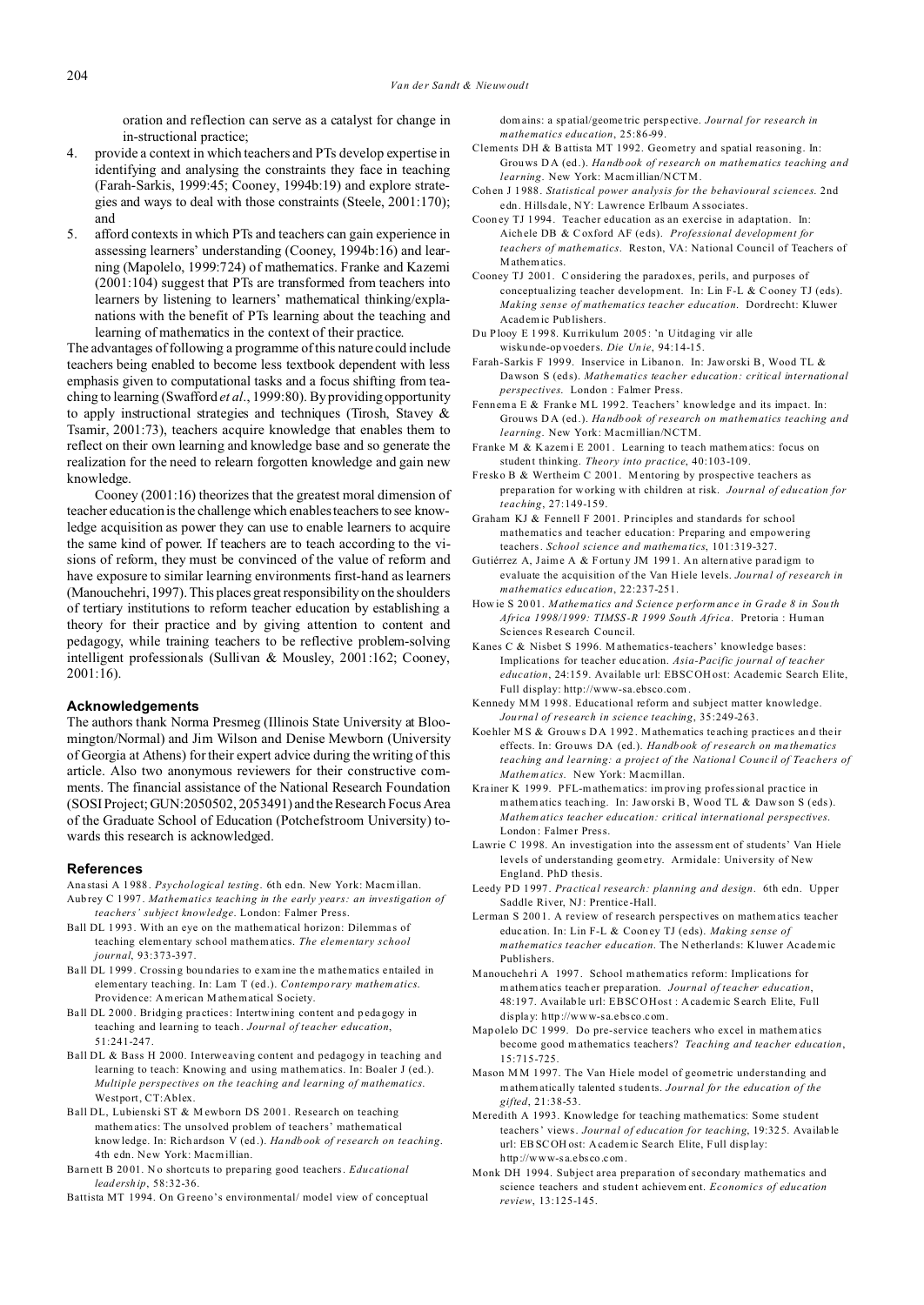oration and reflection can serve as a catalyst for change in in-structional practice;

- 4. provide a context in which teachers and PTs develop expertise in identifying and analysing the constraints they face in teaching (Farah-Sarkis, 1999:45; Cooney, 1994b:19) and explore strategies and ways to deal with those constraints (Steele, 2001:170); and
- 5. afford contexts in which PTs and teachers can gain experience in assessing learners' understanding (Cooney, 1994b:16) and learning (Mapolelo, 1999:724) of mathematics. Franke and Kazemi (2001:104) suggest that PTs are transformed from teachers into learners by listening to learners' mathematical thinking/explanations with the benefit of PTs learning about the teaching and learning of mathematics in the context of their practice.

The advantages of following a programme of this nature could include teachers being enabled to become less textbook dependent with less emphasis given to computational tasks and a focus shifting from teaching to learning (Swafford *et al*., 1999:80). By providing opportunity to apply instructional strategies and techniques (Tirosh, Stavey & Tsamir, 2001:73), teachers acquire knowledge that enables them to reflect on their own learning and knowledge base and so generate the realization for the need to relearn forgotten knowledge and gain new knowledge.

Cooney (2001:16) theorizes that the greatest moral dimension of teacher education is the challenge which enables teachers to see knowledge acquisition as power they can use to enable learners to acquire the same kind of power. If teachers are to teach according to the visions of reform, they must be convinced of the value of reform and have exposure to similar learning environments first-hand as learners (Manouchehri, 1997). This places great responsibility on the shoulders of tertiary institutions to reform teacher education by establishing a theory for their practice and by giving attention to content and pedagogy, while training teachers to be reflective problem-solving intelligent professionals (Sullivan & Mousley, 2001:162; Cooney, 2001:16).

## **Acknowledgements**

The authors thank Norma Presmeg (Illinois State University at Bloomington/Normal) and Jim Wilson and Denise Mewborn (University of Georgia at Athens) for their expert advice during the writing of this article. Also two anonymous reviewers for their constructive comments. The financial assistance of the National Research Foundation (SOSI Project; GUN:2050502, 2053491) and the Research Focus Area of the Graduate School of Education (Potchefstroom University) towards this research is acknowledged.

#### **References**

- Ana stasi A 1 988. *Psychological testing*. 6th edn. New York: Macmillan. Aub rey C 1997. *Mathematics teaching in the early years: an investigation of*
- *teachers' subject knowledge*. London: Falmer Press. Ball DL 1993. With an eye on the mathematical horizon: Dilemmas of teaching elementary sch ool ma thematics. *The elementary school journal*, 93:373-397.
- Ball DL 1999. Crossing boundaries to examine the mathematics entailed in elementary teach ing. In: Lam T (ed.). *Contempo rary mathematics*. Providen ce: American M athematical Society.
- Ball DL 2000. Bridging practices: Intertwining content and pedagogy in teaching and learn ing to teach. *Journal of teacher education*, 51:241-247.
- Ball DL & Bass H 2000. Interweaving content and pedagogy in teaching and learning to teach: Knowing and using mathematics. In: Boaler J (ed.). *Multiple perspectives on the teaching and learning of mathematics*. Westport, CT:Ablex.
- Ball DL, Lubienski ST & M ewborn DS 2001. Research on teaching mathematics: The unsolved problem of teachers' mathematical knowledge. In: Rich ardson V (ed .). *Ha ndb ook of research on teaching*. 4th edn. New York: Macmillian.
- Barn ett B 20 01. N o shortcuts to prepa ring good teachers. *Educational leadersh ip*, 58:32-36.
- Battista MT 1994. On Greeno's environmental/ model view of conceptual

domains: a sp atial/geome tric perspective. *Journal for research in mathematics education*, 25:86-99.

- Clements DH & Battista MT 1992. Geometry and spatial reasoning. In: Grouws D A (ed .). *Ha ndb ook of research on mathematics teaching and learning*. New York: Macmillian/NCTM.
- Coh en J 1988. *Statistical power analysis for the behavioural sciences*. 2nd edn. Hillsdale, NY: Lawrence Erlbaum A ssociates.
- Coon ey TJ 1994. Teacher education as an exercise in adaptation. In: Aichele DB & Coxford AF (e ds). *Professional development for teachers of mathematics*. Reston, VA: Na tional Council of Teachers of Mathem atics.
- Cooney TJ 2001. Considering the paradox es, perils, and purposes of conceptualizing teacher development. In: Lin F-L & Cooney TJ (eds). *Making sense of mathematics teacher education*. Dordrecht: Kluwer Acad emic Pub lishers.
- Du Plooy E 1 998. Ku rrikulum 2005: 'n Uitdaging vir alle wisku nde-op voeders. *Die Un ie*, 94:14-15.
- Farah-Sarkis F 1999. Inservice in Libanon. In: Jaworski B, Wood TL & Dawson S (eds). *Mathematics teacher education: critical international perspectives*. London : Falmer Press.
- Fennema E & Franke ML 1992. Teachers' knowledge and its impact. In: Grouws D A (ed .). *Ha ndb ook of research on mathematics teaching and learning*. New York: Macmillian/NCTM.
- Franke M & Kazemi E 2001. Learning to teach mathematics: focus on studen t thinking. *Theory into practice*, 40:103-109.
- Fresko B & Wertheim C 2001. M entoring by prospective teachers as prepa ration for working with children at risk. *Journal of education for teaching*, 27:149-159.
- Graham KJ & Fennell F 2001. Principles and standards for sch ool mathematics and teacher education: Preparing and empowering teachers. *School science and mathema tics*, 101:319-327.
- Gutiérrez A, Jaime A & Fortuny JM 1991. An alternative paradigm to evaluate the acquisition of the Van Hiele levels. *Journa l of research in mathematics education*, 22:237-251.
- How ie S 20 01. *Mathema tics and S cience performanc e in G rad e 8 in Sou th Africa 1998/1999: TIMSS -R 1999 South Africa*. Pretoria : Human Sc iences Research Council.
- Kanes C & Nisbet S 1996. M athematics-teachers' knowledge bases: Implications for teacher education. Asia-Pacific journal of teacher *education*, 24:15 9. Available url: EBSCOH ost: Academic Search Elite, Full display: http://www-sa.ebsco.com .
- Kennedy MM 1 998. Educational reform and subject matter knowledge. *Journa l of research in science teaching*, 35:249-263.
- Koe hler M S & Grouws D A 1992. Mathematics teaching practices and their effects. In: Grouws DA (ed.). *Ha ndb ook of research on ma thematics teaching and learning: a project of the Na tiona l Counc il of Teachers of Mathem atics*. New York: Macmillan.
- Krainer K 1999. PFL-mathematics: improving professional practice in mathem atics teaching. In: Jaworski B, Wood TL & Daw son S (eds). *Mathem atics teacher education: critical international perspectives*. London : Falmer Press.
- Lawrie C 19 98. An investigation into the assessm ent of students' Van Hiele levels of understanding geometry. Armidale: University of New England. PhD thesis.
- Leedy PD 1 997. *Pra ctical research: planning and design*. 6th edn. Upper Saddle River, NJ: Prentice -Hall.
- Lerman S 200 1. A review of research perspectives on mathematics teacher educ ation. In: Lin F-L & Coon ey TJ (eds). *Making sense of mathematics teacher education*. The Netherlands: Kluwer Academic Publishers.
- Manouchehri A 1997. School mathematics reform: Implications for mathem atics teacher prep aration. *Journal of teacher education*, 48:19 7. Available url: EBSC OHost : Academic Search Elite, Full display: http://www-sa.ebsco.com.
- Map olelo DC 1 999. Do pre-service teachers who excel in mathem atics become good mathematics teachers? *Teaching and teacher education*, 15:715-725.
- Mason M M 1 997. The Van Hiele model of geometric understanding and mathem atically talented students. *Journal for the education of the gifted*, 21:38-53.
- Meredith A 1993. Knowledge for teaching mathematics: Some student teachers' views. *Journal of education for teaching*, 19:32 5. Available url: EBSCOH ost: Academic Se arch Elite, Full display: http://www-sa.ebsco.com.
- Monk DH 1994. Subject area preparation of secondary mathematics and science teachers and student achievem ent. *Economics of education review*, 13:125-145.